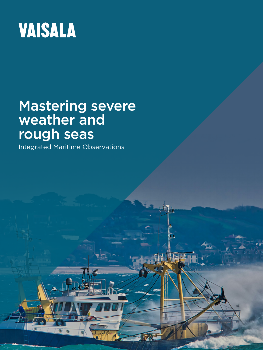

# Mastering severe weather and rough seas

USE this style for indicate the image credit of

Integrated Maritime Observations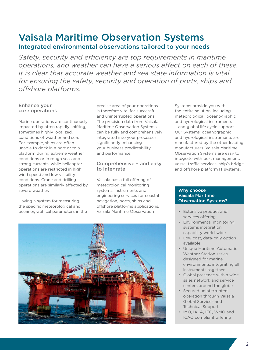# Vaisala Maritime Observation Systems Integrated environmental observations tailored to your needs

*Safety, security and efficiency are top requirements in maritime operations, and weather can have a serious affect on each of these. It is clear that accurate weather and sea state information is vital for ensuring the safety, security and operation of ports, ships and offshore platforms.* 

# Enhance your core operations

Marine operations are continuously impacted by often rapidly shifting, sometimes highly localized, conditions of weather and sea. For example, ships are often unable to dock in a port or to a platform during extreme weather conditions or in rough seas and strong currents, while helicopter operations are restricted in high wind speed and low visibility conditions. Crane and drilling operations are similarly affected by severe weather.

Having a system for measuring the specific meteorological and oceanographical parameters in the

precise area of your operations is therefore vital for successful and uninterrupted operations. The precision data from Vaisala Maritime Observation Systems can be fully and comprehensively integrated into your processes, significantly enhancing your business predictability and performance.

# Comprehensive – and easy to integrate

Vaisala has a full offering of meteorological monitoring systems, instruments and engineering services for coastal navigation, ports, ships and offshore platforms applications. Vaisala Maritime Observation

Systems provide you with the entire solution, including meteorological, oceanographic and hydrological instruments – and global life cycle support. Our Systems' oceanographic and hydrological instruments are manufactured by the other leading manufacturers. Vaisala Maritime Observation Systems are easy to integrate with port management, vessel traffic services, ship's bridge and offshore platform IT systems.

## Why choose Vaisala Maritime Observation Systems?

- Extensive product and services offering
- Environmental monitoring systems integration capability world-wide
- Low cost, data-only option available
- Unique Maritime Automatic Weather Station series designed for marine environments, integrating all instruments together
- Global presence with a wide sales network and service centers around the globe
- Secured uninterrupted operation through Vaisala Global Services and Technical Support
- IMO, IALA, IEC, WMO and ICAO compliant offering

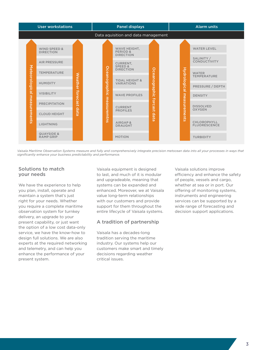

Vaisala Maritime Observation Systems measure and fully and comprehensively integrate precision metocean data into all your processes in ways that *significantly enhance your business predictability and performance.*

## Solutions to match your needs

We have the experience to help you plan, install, operate and maintain a system that's just right for your needs. Whether you require a complete maritime observation system for turnkey delivery, an upgrade to your present capability, or just want the option of a low cost data-only service, we have the know-how to design full solutions. We are also experts at the required networking and telemetry, and can help you enhance the performance of your present system.

Vaisala equipment is designed to last, and much of it is modular and upgradeable, meaning that systems can be expanded and enhanced. Moreover, we at Vaisala value long-term relationships with our customers and provide support for them throughout the entire lifecycle of Vaisala systems.

# A tradition of partnership

Vaisala has a decades-long tradition serving the maritime industry. Our systems help our customers make smart and timely decisions regarding weather critical issues.

Vaisala solutions improve efficiency and enhance the safety of people, vessels and cargo, whether at sea or in port. Our offering of monitoring systems, instruments and engineering services can be supported by a wide range of forecasting and decision support applications.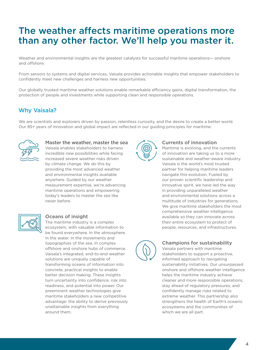# The weather affects maritime operations more than any other factor. We'll help you master it.

Weather and environmental insights are the greatest catalysts for successful maritime operations— onshore and offshore.

From sensors to systems and digital services, Vaisala provides actionable insights that empower stakeholders to confidently meet new challenges and harness new opportunities.

Our globally trusted maritime weather solutions enable remarkable efficiency gains, digital transformation, the protection of people and investments while supporting clean and responsible operations.

# Why Vaisala?

We are scientists and explorers driven by passion, relentless curiosity, and the desire to create a better world. Our 85+ years of innovation and global impact are reflected in our guiding principles for maritime:



#### Master the weather, master the sea

Vaisala enables stakeholders to harness incredible new possibilities while facing increased severe weather risks driven by climate change. We do this by providing the most advanced weather and environmental insights available anywhere. Guided by our weather measurement expertise, we're advancing maritime operations and empowering today's leaders to master the sea like never before.



#### Oceans of insight

The maritime industry is a complex ecosystem, with valuable information to be found everywhere. In the atmosphere. In the water. In the movements and topographies of the sea. In complex offshore and onshore hubs of commerce. Vaisala's integrated, end-to-end weather solutions are uniquely capable of transforming oceans of information into concrete, practical insights to enable better decision making. These insights turn uncertainty into confidence, risk into readiness, and potential into power. Our preeminent weather technologies give maritime stakeholders a new competitive advantage: the ability to derive previously unattainable insights from everything around them.



## Currents of innovation

Maritime is evolving, and the currents of innovation are taking us to a more sustainable and weather-aware industry. Vaisala is the world's most trusted partner for helping maritime leaders navigate this evolution. Fueled by our proven scientific leadership and innovative spirit, we have led the way in providing unparalleled weather and environmental solutions across a multitude of industries for generations. We give maritime stakeholders the most comprehensive weather intelligence available so they can innovate across their entire ecosystem to protect of people, resources, and infrastructures.



## Champions for sustainability

Vaisala partners with maritime stakeholders to support a proactive, informed approach to navigating sustainability initiatives. Our unsurpassed onshore and offshore weather intelligence helps the maritime industry achieve cleaner and more responsible operations, stay ahead of regulatory pressures, and confidently manage risks related to extreme weather. This partnership also strengthens the health of Earth's oceanic ecosystems and the communities of which we are all part.